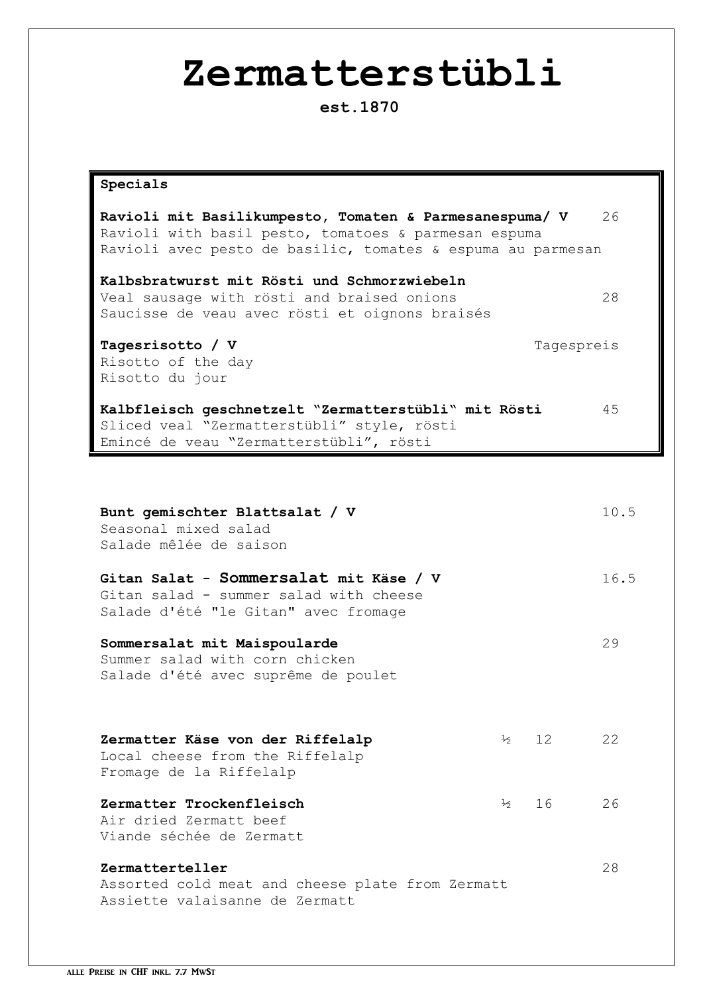# **Zermatterstübli**

**est.1870**

| Specials                                                                                                                                                                       |      |
|--------------------------------------------------------------------------------------------------------------------------------------------------------------------------------|------|
| Ravioli mit Basilikumpesto, Tomaten & Parmesanespuma/ V<br>Ravioli with basil pesto, tomatoes & parmesan espuma<br>Ravioli avec pesto de basilic, tomates & espuma au parmesan | 26   |
| Kalbsbratwurst mit Rösti und Schmorzwiebeln<br>Veal sausage with rösti and braised onions<br>Saucisse de veau avec rösti et oignons braisés                                    | 28   |
| Tagesrisotto / V<br>Tagespreis<br>Risotto of the day<br>Risotto du jour                                                                                                        |      |
| Kalbfleisch geschnetzelt "Zermatterstübli" mit Rösti<br>Sliced veal "Zermatterstübli" style, rösti<br>Emincé de veau "Zermatterstübli", rösti                                  | 45   |
|                                                                                                                                                                                |      |
| Bunt gemischter Blattsalat / V<br>Seasonal mixed salad<br>Salade mêlée de saison                                                                                               | 10.5 |
| Gitan Salat - Sommersalat mit Käse / V<br>Gitan salad - summer salad with cheese<br>Salade d'été "le Gitan" avec fromage                                                       | 16.5 |
| Sommersalat mit Maispoularde<br>Summer salad with corn chicken<br>Salade d'été avec suprême de poulet                                                                          | 29   |

| Zermatter Käse von der Riffelalp | $\frac{1}{2}$ 12 22 |  |
|----------------------------------|---------------------|--|
| Local cheese from the Riffelalp  |                     |  |
| Fromage de la Riffelalp          |                     |  |
|                                  |                     |  |
| Zermatter Trockenfleisch         | $\frac{1}{2}$ 16 26 |  |
| Air dried Zermatt beef           |                     |  |
| Viande séchée de Zermatt         |                     |  |
|                                  |                     |  |

**Zermatterteller** 28 Assorted cold meat and cheese plate from Zermatt Assiette valaisanne de Zermatt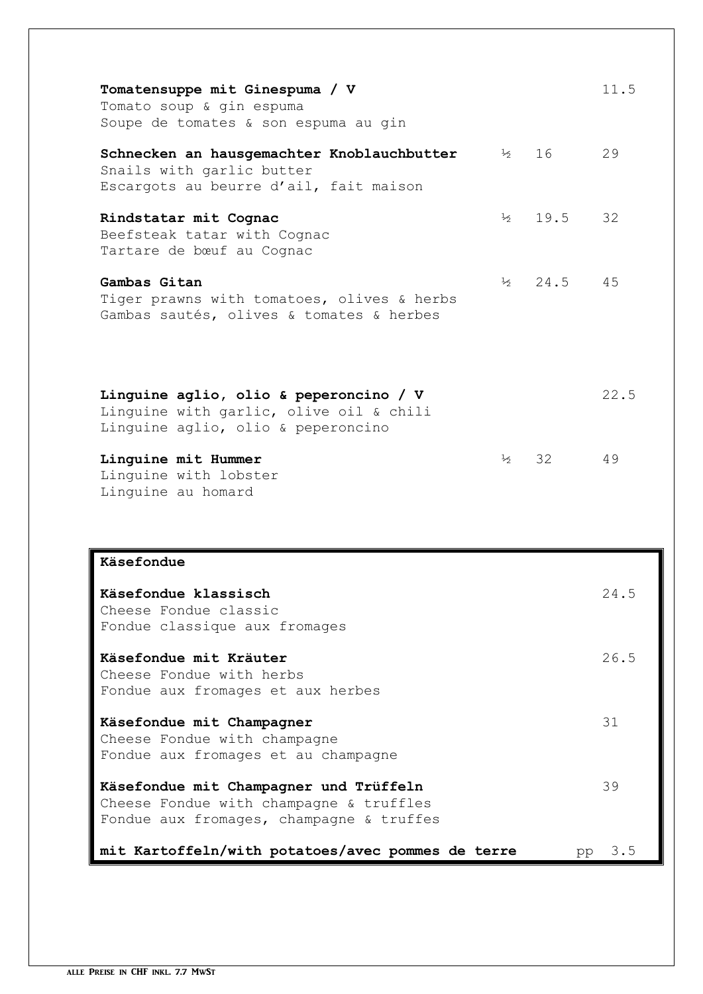| Tomatensuppe mit Ginespuma / V<br>Tomato soup & gin espuma<br>Soupe de tomates & son espuma au gin                            |               |                    | 11.5      |
|-------------------------------------------------------------------------------------------------------------------------------|---------------|--------------------|-----------|
| Schnecken an hausgemachter Knoblauchbutter<br>Snails with garlic butter<br>Escargots au beurre d'ail, fait maison             |               | $\frac{1}{2}$ 16   | 29        |
| Rindstatar mit Cognac<br>Beefsteak tatar with Cognac<br>Tartare de bœuf au Cognac                                             | $\frac{1}{2}$ | 19.5               | 32        |
| Gambas Gitan<br>Tiger prawns with tomatoes, olives & herbs<br>Gambas sautés, olives & tomates & herbes                        |               | $\frac{1}{2}$ 24.5 | 45        |
| Linguine aglio, olio & peperoncino / V<br>Linguine with garlic, olive oil & chili<br>Linguine aglio, olio & peperoncino       |               |                    | 22.5      |
| Linguine mit Hummer<br>Linguine with lobster<br>Linguine au homard                                                            | $\frac{1}{2}$ | 32                 | 49        |
| Käsefondue                                                                                                                    |               |                    |           |
| Käsefondue klassisch<br>Cheese Fondue classic<br>Fondue classique aux fromages                                                |               |                    | 24.5      |
| Käsefondue mit Kräuter<br>Cheese Fondue with herbs<br>Fondue aux fromages et aux herbes                                       |               |                    | 26.5      |
| Käsefondue mit Champagner<br>Cheese Fondue with champagne<br>Fondue aux fromages et au champagne                              |               |                    | 31        |
| Käsefondue mit Champagner und Trüffeln<br>Cheese Fondue with champagne & truffles<br>Fondue aux fromages, champagne & truffes |               |                    | 39        |
| mit Kartoffeln/with potatoes/avec pommes de terre                                                                             |               |                    | 3.5<br>pp |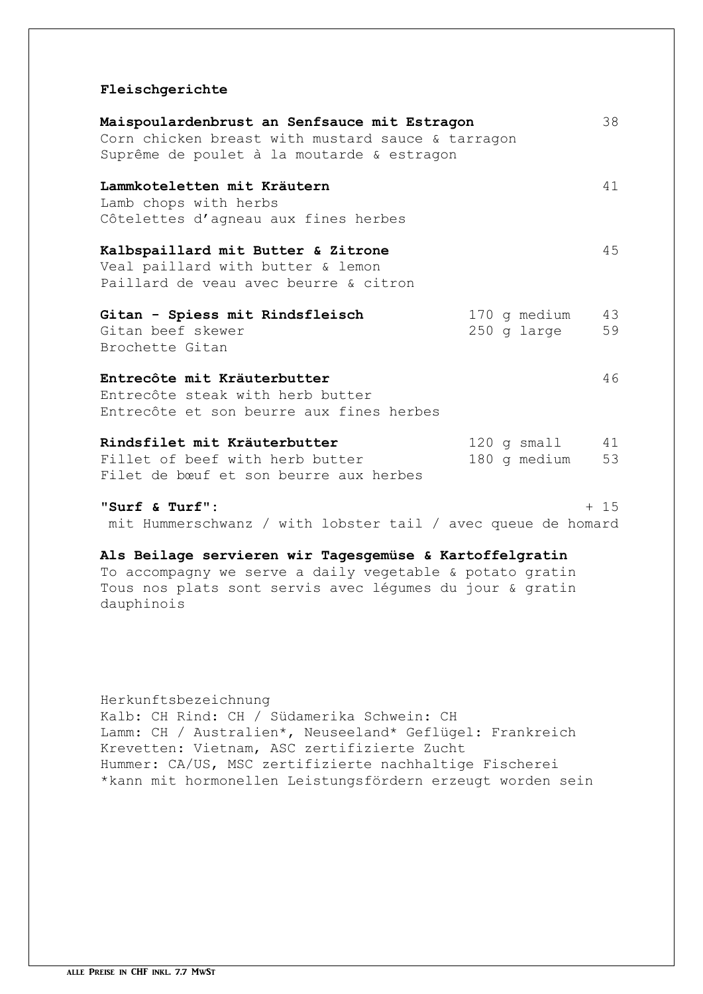### **Fleischgerichte**

| Maispoulardenbrust an Senfsauce mit Estragon                            |                    | 38     |
|-------------------------------------------------------------------------|--------------------|--------|
| Corn chicken breast with mustard sauce & tarragon                       |                    |        |
| Suprême de poulet à la moutarde & estragon                              |                    |        |
| Lammkoteletten mit Kräutern                                             |                    | 41     |
| Lamb chops with herbs                                                   |                    |        |
| Côtelettes d'agneau aux fines herbes                                    |                    |        |
| Kalbspaillard mit Butter & Zitrone<br>Veal paillard with butter & lemon |                    | 45     |
| Paillard de veau avec beurre & citron                                   |                    |        |
| Gitan - Spiess mit Rindsfleisch                                         | 170 g medium       | 43     |
| Gitan beef skewer                                                       | 250 g large        | 59     |
| Brochette Gitan                                                         |                    |        |
| Entrecôte mit Kräuterbutter                                             |                    | 46     |
| Entrecôte steak with herb butter                                        |                    |        |
| Entrecôte et son beurre aux fines herbes                                |                    |        |
| Rindsfilet mit Kräuterbutter                                            | $120$ g small $41$ |        |
| Fillet of beef with herb butter                                         | 180 g medium       | 53     |
| Filet de bœuf et son beurre aux herbes                                  |                    |        |
| "Surf & Turf":                                                          |                    | $+ 15$ |

mit Hummerschwanz / with lobster tail / avec queue de homard

## **Als Beilage servieren wir Tagesgemüse & Kartoffelgratin**

To accompagny we serve a daily vegetable & potato gratin Tous nos plats sont servis avec légumes du jour & gratin dauphinois

# Herkunftsbezeichnung Kalb: CH Rind: CH / Südamerika Schwein: CH Lamm: CH / Australien\*, Neuseeland\* Geflügel: Frankreich Krevetten: Vietnam, ASC zertifizierte Zucht Hummer: CA/US, MSC zertifizierte nachhaltige Fischerei \*kann mit hormonellen Leistungsfördern erzeugt worden sein